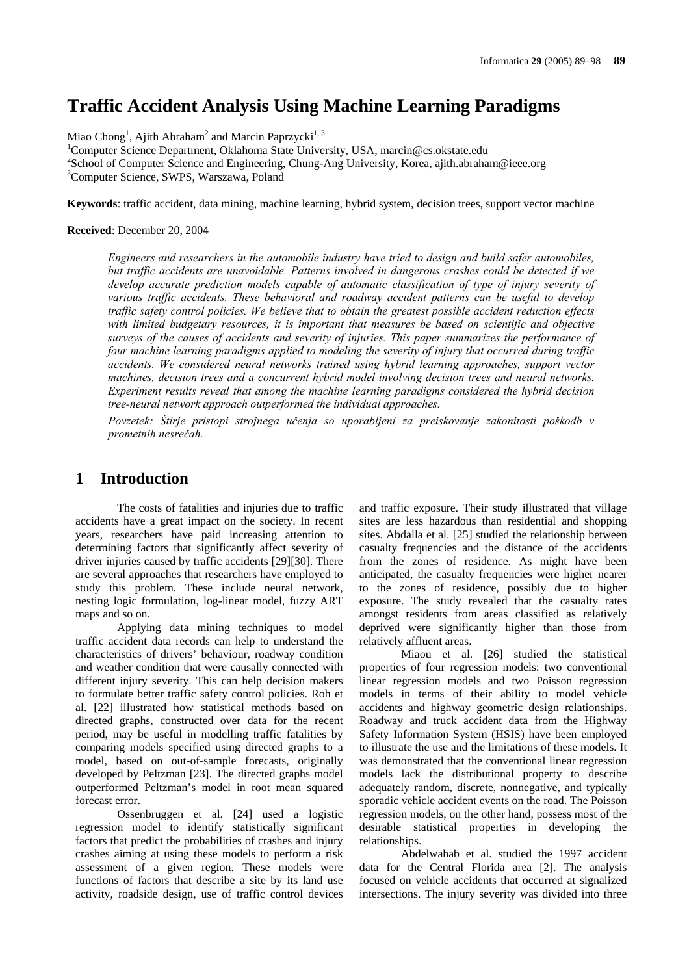# **Traffic Accident Analysis Using Machine Learning Paradigms**

Miao Chong<sup>1</sup>, Ajith Abraham<sup>2</sup> and Marcin Paprzycki<sup>1, 3</sup>

<sup>1</sup>Computer Science Department, Oklahoma State University, USA, marcin@cs.okstate.edu 28 chool of Computer Science and Engineering, Chung, Ang University, Korea ejith obrobat <sup>2</sup>School of Computer Science and Engineering, Chung-Ang University, Korea, ajith.abraham@ieee.org <sup>3</sup>Computer Science, SWPS, Warszawa, Poland

**Keywords**: traffic accident, data mining, machine learning, hybrid system, decision trees, support vector machine

#### **Received**: December 20, 2004

*Engineers and researchers in the automobile industry have tried to design and build safer automobiles, but traffic accidents are unavoidable. Patterns involved in dangerous crashes could be detected if we develop accurate prediction models capable of automatic classification of type of injury severity of various traffic accidents. These behavioral and roadway accident patterns can be useful to develop traffic safety control policies. We believe that to obtain the greatest possible accident reduction effects with limited budgetary resources, it is important that measures be based on scientific and objective surveys of the causes of accidents and severity of injuries. This paper summarizes the performance of four machine learning paradigms applied to modeling the severity of injury that occurred during traffic accidents. We considered neural networks trained using hybrid learning approaches, support vector machines, decision trees and a concurrent hybrid model involving decision trees and neural networks. Experiment results reveal that among the machine learning paradigms considered the hybrid decision tree-neural network approach outperformed the individual approaches.* 

*Povzetek: Štirje pristopi strojnega učenja so uporabljeni za preiskovanje zakonitosti poškodb v prometnih nesrečah.* 

## **1 Introduction**

The costs of fatalities and injuries due to traffic accidents have a great impact on the society. In recent years, researchers have paid increasing attention to determining factors that significantly affect severity of driver injuries caused by traffic accidents [29][30]. There are several approaches that researchers have employed to study this problem. These include neural network, nesting logic formulation, log-linear model, fuzzy ART maps and so on.

Applying data mining techniques to model traffic accident data records can help to understand the characteristics of drivers' behaviour, roadway condition and weather condition that were causally connected with different injury severity. This can help decision makers to formulate better traffic safety control policies. Roh et al. [22] illustrated how statistical methods based on directed graphs, constructed over data for the recent period, may be useful in modelling traffic fatalities by comparing models specified using directed graphs to a model, based on out-of-sample forecasts, originally developed by Peltzman [23]. The directed graphs model outperformed Peltzman's model in root mean squared forecast error.

Ossenbruggen et al. [24] used a logistic regression model to identify statistically significant factors that predict the probabilities of crashes and injury crashes aiming at using these models to perform a risk assessment of a given region. These models were functions of factors that describe a site by its land use activity, roadside design, use of traffic control devices and traffic exposure. Their study illustrated that village sites are less hazardous than residential and shopping sites. Abdalla et al. [25] studied the relationship between casualty frequencies and the distance of the accidents from the zones of residence. As might have been anticipated, the casualty frequencies were higher nearer to the zones of residence, possibly due to higher exposure. The study revealed that the casualty rates amongst residents from areas classified as relatively deprived were significantly higher than those from relatively affluent areas.

Miaou et al. [26] studied the statistical properties of four regression models: two conventional linear regression models and two Poisson regression models in terms of their ability to model vehicle accidents and highway geometric design relationships. Roadway and truck accident data from the Highway Safety Information System (HSIS) have been employed to illustrate the use and the limitations of these models. It was demonstrated that the conventional linear regression models lack the distributional property to describe adequately random, discrete, nonnegative, and typically sporadic vehicle accident events on the road. The Poisson regression models, on the other hand, possess most of the desirable statistical properties in developing the relationships.

Abdelwahab et al. studied the 1997 accident data for the Central Florida area [2]. The analysis focused on vehicle accidents that occurred at signalized intersections. The injury severity was divided into three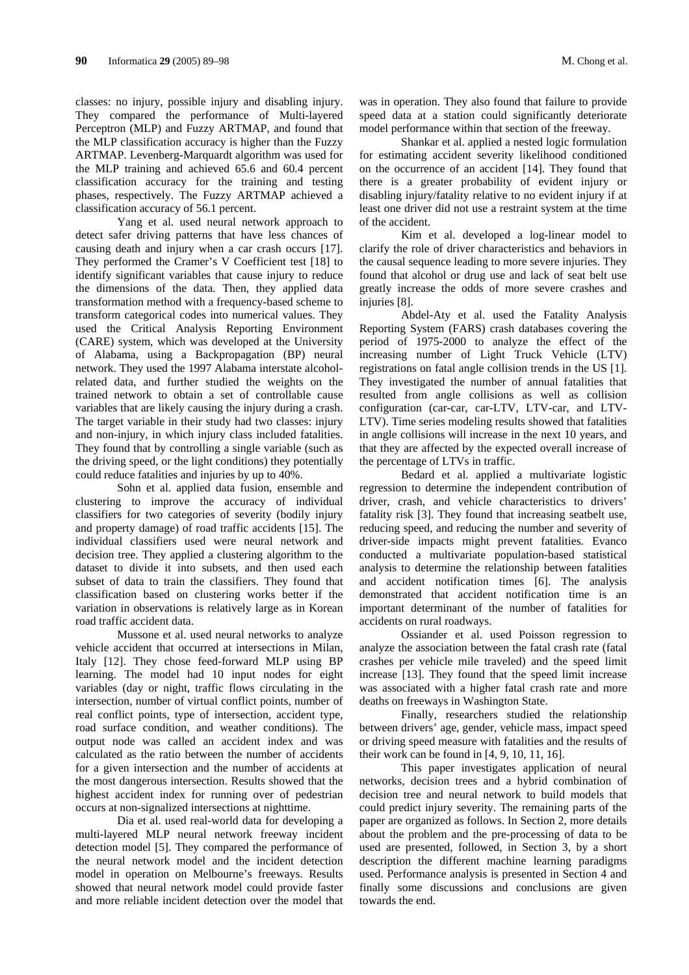classes: no injury, possible injury and disabling injury. They compared the performance of Multi-layered Perceptron (MLP) and Fuzzy ARTMAP, and found that the MLP classification accuracy is higher than the Fuzzy ARTMAP. Levenberg-Marquardt algorithm was used for the MLP training and achieved 65.6 and 60.4 percent classification accuracy for the training and testing phases, respectively. The Fuzzy ARTMAP achieved a classification accuracy of 56.1 percent.

Yang et al. used neural network approach to detect safer driving patterns that have less chances of causing death and injury when a car crash occurs [17]. They performed the Cramer's V Coefficient test [18] to identify significant variables that cause injury to reduce the dimensions of the data. Then, they applied data transformation method with a frequency-based scheme to transform categorical codes into numerical values. They used the Critical Analysis Reporting Environment (CARE) system, which was developed at the University of Alabama, using a Backpropagation (BP) neural network. They used the 1997 Alabama interstate alcoholrelated data, and further studied the weights on the trained network to obtain a set of controllable cause variables that are likely causing the injury during a crash. The target variable in their study had two classes: injury and non-injury, in which injury class included fatalities. They found that by controlling a single variable (such as the driving speed, or the light conditions) they potentially could reduce fatalities and injuries by up to 40%.

Sohn et al. applied data fusion, ensemble and clustering to improve the accuracy of individual classifiers for two categories of severity (bodily injury and property damage) of road traffic accidents [15]. The individual classifiers used were neural network and decision tree. They applied a clustering algorithm to the dataset to divide it into subsets, and then used each subset of data to train the classifiers. They found that classification based on clustering works better if the variation in observations is relatively large as in Korean road traffic accident data.

Mussone et al. used neural networks to analyze vehicle accident that occurred at intersections in Milan, Italy [12]. They chose feed-forward MLP using BP learning. The model had 10 input nodes for eight variables (day or night, traffic flows circulating in the intersection, number of virtual conflict points, number of real conflict points, type of intersection, accident type, road surface condition, and weather conditions). The output node was called an accident index and was calculated as the ratio between the number of accidents for a given intersection and the number of accidents at the most dangerous intersection. Results showed that the highest accident index for running over of pedestrian occurs at non-signalized intersections at nighttime.

Dia et al. used real-world data for developing a multi-layered MLP neural network freeway incident detection model [5]. They compared the performance of the neural network model and the incident detection model in operation on Melbourne's freeways. Results showed that neural network model could provide faster and more reliable incident detection over the model that was in operation. They also found that failure to provide speed data at a station could significantly deteriorate model performance within that section of the freeway.

Shankar et al. applied a nested logic formulation for estimating accident severity likelihood conditioned on the occurrence of an accident [14]. They found that there is a greater probability of evident injury or disabling injury/fatality relative to no evident injury if at least one driver did not use a restraint system at the time of the accident.

Kim et al. developed a log-linear model to clarify the role of driver characteristics and behaviors in the causal sequence leading to more severe injuries. They found that alcohol or drug use and lack of seat belt use greatly increase the odds of more severe crashes and injuries [8].

Abdel-Aty et al. used the Fatality Analysis Reporting System (FARS) crash databases covering the period of 1975-2000 to analyze the effect of the increasing number of Light Truck Vehicle (LTV) registrations on fatal angle collision trends in the US [1]. They investigated the number of annual fatalities that resulted from angle collisions as well as collision configuration (car-car, car-LTV, LTV-car, and LTV-LTV). Time series modeling results showed that fatalities in angle collisions will increase in the next 10 years, and that they are affected by the expected overall increase of the percentage of LTVs in traffic.

Bedard et al. applied a multivariate logistic regression to determine the independent contribution of driver, crash, and vehicle characteristics to drivers' fatality risk [3]. They found that increasing seatbelt use, reducing speed, and reducing the number and severity of driver-side impacts might prevent fatalities. Evanco conducted a multivariate population-based statistical analysis to determine the relationship between fatalities and accident notification times [6]. The analysis demonstrated that accident notification time is an important determinant of the number of fatalities for accidents on rural roadways.

Ossiander et al. used Poisson regression to analyze the association between the fatal crash rate (fatal crashes per vehicle mile traveled) and the speed limit increase [13]. They found that the speed limit increase was associated with a higher fatal crash rate and more deaths on freeways in Washington State.

Finally, researchers studied the relationship between drivers' age, gender, vehicle mass, impact speed or driving speed measure with fatalities and the results of their work can be found in [4, 9, 10, 11, 16].

This paper investigates application of neural networks, decision trees and a hybrid combination of decision tree and neural network to build models that could predict injury severity. The remaining parts of the paper are organized as follows. In Section 2, more details about the problem and the pre-processing of data to be used are presented, followed, in Section 3, by a short description the different machine learning paradigms used. Performance analysis is presented in Section 4 and finally some discussions and conclusions are given towards the end.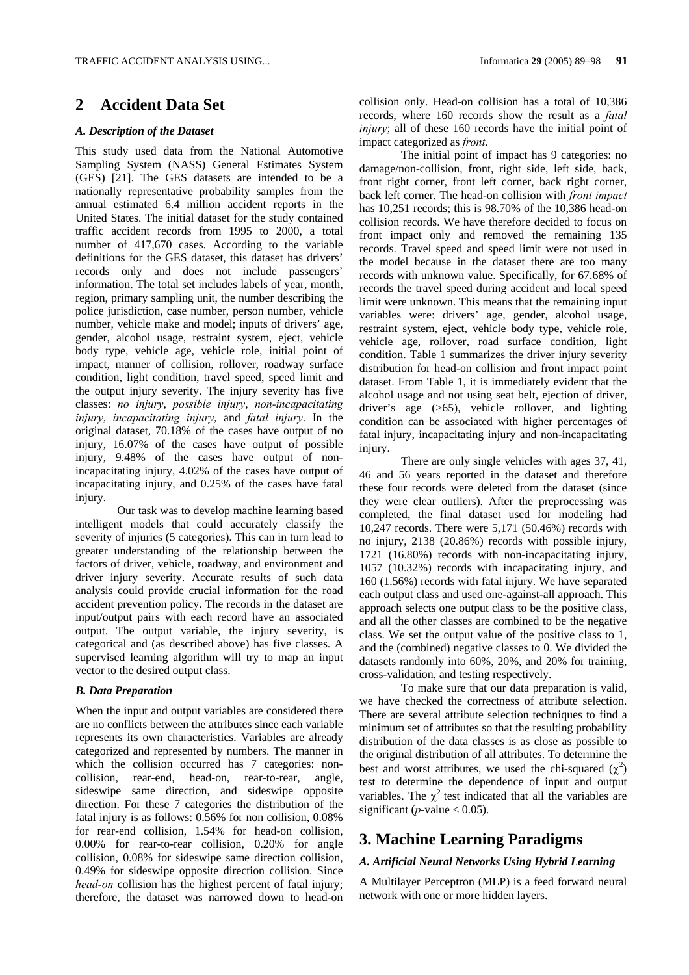## **2 Accident Data Set**

#### *A. Description of the Dataset*

This study used data from the National Automotive Sampling System (NASS) General Estimates System (GES) [21]. The GES datasets are intended to be a nationally representative probability samples from the annual estimated 6.4 million accident reports in the United States. The initial dataset for the study contained traffic accident records from 1995 to 2000, a total number of 417,670 cases. According to the variable definitions for the GES dataset, this dataset has drivers' records only and does not include passengers' information. The total set includes labels of year, month, region, primary sampling unit, the number describing the police jurisdiction, case number, person number, vehicle number, vehicle make and model; inputs of drivers' age, gender, alcohol usage, restraint system, eject, vehicle body type, vehicle age, vehicle role, initial point of impact, manner of collision, rollover, roadway surface condition, light condition, travel speed, speed limit and the output injury severity. The injury severity has five classes: *no injury*, *possible injury*, *non-incapacitating injury*, *incapacitating injury*, and *fatal injury*. In the original dataset, 70.18% of the cases have output of no injury, 16.07% of the cases have output of possible injury, 9.48% of the cases have output of nonincapacitating injury, 4.02% of the cases have output of incapacitating injury, and 0.25% of the cases have fatal injury.

Our task was to develop machine learning based intelligent models that could accurately classify the severity of injuries (5 categories). This can in turn lead to greater understanding of the relationship between the factors of driver, vehicle, roadway, and environment and driver injury severity. Accurate results of such data analysis could provide crucial information for the road accident prevention policy. The records in the dataset are input/output pairs with each record have an associated output. The output variable, the injury severity, is categorical and (as described above) has five classes. A supervised learning algorithm will try to map an input vector to the desired output class.

#### *B. Data Preparation*

When the input and output variables are considered there are no conflicts between the attributes since each variable represents its own characteristics. Variables are already categorized and represented by numbers. The manner in which the collision occurred has 7 categories: noncollision, rear-end, head-on, rear-to-rear, angle, sideswipe same direction, and sideswipe opposite direction. For these 7 categories the distribution of the fatal injury is as follows: 0.56% for non collision, 0.08% for rear-end collision, 1.54% for head-on collision, 0.00% for rear-to-rear collision, 0.20% for angle collision, 0.08% for sideswipe same direction collision, 0.49% for sideswipe opposite direction collision. Since *head-on* collision has the highest percent of fatal injury; therefore, the dataset was narrowed down to head-on

collision only. Head-on collision has a total of 10,386 records, where 160 records show the result as a *fatal injury*; all of these 160 records have the initial point of impact categorized as *front*.

The initial point of impact has 9 categories: no damage/non-collision, front, right side, left side, back, front right corner, front left corner, back right corner, back left corner. The head-on collision with *front impact* has 10,251 records; this is 98.70% of the 10,386 head-on collision records. We have therefore decided to focus on front impact only and removed the remaining 135 records. Travel speed and speed limit were not used in the model because in the dataset there are too many records with unknown value. Specifically, for 67.68% of records the travel speed during accident and local speed limit were unknown. This means that the remaining input variables were: drivers' age, gender, alcohol usage, restraint system, eject, vehicle body type, vehicle role, vehicle age, rollover, road surface condition, light condition. Table 1 summarizes the driver injury severity distribution for head-on collision and front impact point dataset. From Table 1, it is immediately evident that the alcohol usage and not using seat belt, ejection of driver, driver's age (>65), vehicle rollover, and lighting condition can be associated with higher percentages of fatal injury, incapacitating injury and non-incapacitating injury.

There are only single vehicles with ages 37, 41, 46 and 56 years reported in the dataset and therefore these four records were deleted from the dataset (since they were clear outliers). After the preprocessing was completed, the final dataset used for modeling had 10,247 records. There were 5,171 (50.46%) records with no injury, 2138 (20.86%) records with possible injury, 1721 (16.80%) records with non-incapacitating injury, 1057 (10.32%) records with incapacitating injury, and 160 (1.56%) records with fatal injury. We have separated each output class and used one-against-all approach. This approach selects one output class to be the positive class, and all the other classes are combined to be the negative class. We set the output value of the positive class to 1, and the (combined) negative classes to 0. We divided the datasets randomly into 60%, 20%, and 20% for training, cross-validation, and testing respectively.

To make sure that our data preparation is valid, we have checked the correctness of attribute selection. There are several attribute selection techniques to find a minimum set of attributes so that the resulting probability distribution of the data classes is as close as possible to the original distribution of all attributes. To determine the best and worst attributes, we used the chi-squared  $(\chi^2)$ test to determine the dependence of input and output variables. The  $\gamma^2$  test indicated that all the variables are significant ( $p$ -value  $< 0.05$ ).

### **3. Machine Learning Paradigms**

#### *A. Artificial Neural Networks Using Hybrid Learning*

A Multilayer Perceptron (MLP) is a feed forward neural network with one or more hidden layers.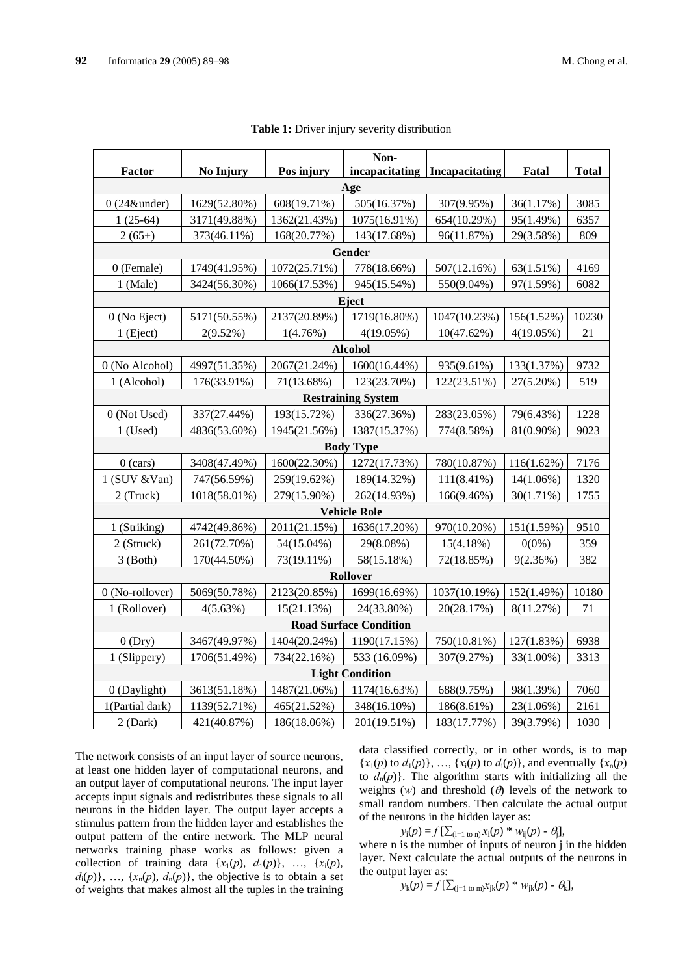|                               |                     |              | Non-                      |                                 |              |              |  |  |  |
|-------------------------------|---------------------|--------------|---------------------------|---------------------------------|--------------|--------------|--|--|--|
| Factor                        | No Injury           | Pos injury   |                           | incapacitating   Incapacitating | Fatal        | <b>Total</b> |  |  |  |
| Age                           |                     |              |                           |                                 |              |              |  |  |  |
| $0(24\&$ under)               | 1629(52.80%)        | 608(19.71%)  | 505(16.37%)               | 307(9.95%)                      | 36(1.17%)    | 3085         |  |  |  |
| $1(25-64)$                    | 3171(49.88%)        | 1362(21.43%) | 1075(16.91%)              | 654(10.29%)                     | 95(1.49%)    | 6357         |  |  |  |
| $2(65+)$                      | 373(46.11%)         | 168(20.77%)  | 143(17.68%)               | 96(11.87%)                      | 29(3.58%)    | 809          |  |  |  |
| Gender                        |                     |              |                           |                                 |              |              |  |  |  |
| 0 (Female)                    | 1749(41.95%)        | 1072(25.71%) | 778(18.66%)               | 507(12.16%)                     | 63(1.51%)    | 4169         |  |  |  |
| 1 (Male)                      | 3424(56.30%)        | 1066(17.53%) | 945(15.54%)               | 550(9.04%)                      | 97(1.59%)    | 6082         |  |  |  |
|                               |                     |              | Eject                     |                                 |              |              |  |  |  |
| $0$ (No Eject)                | 5171(50.55%)        | 2137(20.89%) | 1719(16.80%)              | 1047(10.23%)                    | 156(1.52%)   | 10230        |  |  |  |
| 1 (Eject)                     | 2(9.52%)            | 1(4.76%)     | $4(19.05\%)$              | 10(47.62%)                      | $4(19.05\%)$ | 21           |  |  |  |
|                               |                     |              | <b>Alcohol</b>            |                                 |              |              |  |  |  |
| 0 (No Alcohol)                | 4997(51.35%)        | 2067(21.24%) | 1600(16.44%)              | 935(9.61%)                      | 133(1.37%)   | 9732         |  |  |  |
| 1 (Alcohol)                   | 176(33.91%)         | 71(13.68%)   | 123(23.70%)               | 122(23.51%)                     | 27(5.20%)    | 519          |  |  |  |
|                               |                     |              | <b>Restraining System</b> |                                 |              |              |  |  |  |
| 0 (Not Used)                  | 337(27.44%)         | 193(15.72%)  | 336(27.36%)               | 283(23.05%)                     | 79(6.43%)    | 1228         |  |  |  |
| $1$ (Used)                    | 4836(53.60%)        | 1945(21.56%) | 1387(15.37%)              | 774(8.58%)                      | 81(0.90%)    | 9023         |  |  |  |
|                               |                     |              | <b>Body Type</b>          |                                 |              |              |  |  |  |
| $0$ (cars)                    | 3408(47.49%)        | 1600(22.30%) | 1272(17.73%)              | 780(10.87%)                     | 116(1.62%)   | 7176         |  |  |  |
| $1$ (SUV & Van)               | 747(56.59%)         | 259(19.62%)  | 189(14.32%)               | $111(8.41\%)$                   | $14(1.06\%)$ | 1320         |  |  |  |
| 2 (Truck)                     | 1018(58.01%)        | 279(15.90%)  | 262(14.93%)               | 166(9.46%)                      | 30(1.71%)    | 1755         |  |  |  |
|                               | <b>Vehicle Role</b> |              |                           |                                 |              |              |  |  |  |
| 1 (Striking)                  | 4742(49.86%)        | 2011(21.15%) | 1636(17.20%)              | 970(10.20%)                     | 151(1.59%)   | 9510         |  |  |  |
| 2 (Struck)                    | 261(72.70%)         | 54(15.04%)   | 29(8.08%)                 | 15(4.18%)                       | $0(0\%)$     | 359          |  |  |  |
| $3$ (Both)                    | 170(44.50%)         | 73(19.11%)   | 58(15.18%)                | 72(18.85%)                      | 9(2.36%)     | 382          |  |  |  |
|                               |                     |              | Rollover                  |                                 |              |              |  |  |  |
| 0 (No-rollover)               | 5069(50.78%)        | 2123(20.85%) | 1699(16.69%)              | 1037(10.19%)                    | 152(1.49%)   | 10180        |  |  |  |
| 1 (Rollover)                  | 4(5.63%)            | 15(21.13%)   | 24(33.80%)                | 20(28.17%)                      | 8(11.27%)    | 71           |  |  |  |
| <b>Road Surface Condition</b> |                     |              |                           |                                 |              |              |  |  |  |
| 0(Dry)                        | 3467(49.97%)        | 1404(20.24%) | 1190(17.15%)              | 750(10.81%)                     | 127(1.83%)   | 6938         |  |  |  |
| 1 (Slippery)                  | 1706(51.49%)        | 734(22.16%)  | 533 (16.09%)              | 307(9.27%)                      | 33(1.00%)    | 3313         |  |  |  |
|                               |                     |              | <b>Light Condition</b>    |                                 |              |              |  |  |  |
| 0 (Daylight)                  | 3613(51.18%)        | 1487(21.06%) | 1174(16.63%)              | 688(9.75%)                      | 98(1.39%)    | 7060         |  |  |  |
| 1(Partial dark)               | 1139(52.71%)        | 465(21.52%)  | 348(16.10%)               | 186(8.61%)                      | 23(1.06%)    | 2161         |  |  |  |
| 2 (Dark)                      | 421(40.87%)         | 186(18.06%)  | 201(19.51%)               | 183(17.77%)                     | 39(3.79%)    | 1030         |  |  |  |

| Table 1: Driver injury severity distribution |  |  |  |  |  |  |
|----------------------------------------------|--|--|--|--|--|--|
|----------------------------------------------|--|--|--|--|--|--|

The network consists of an input layer of source neurons, at least one hidden layer of computational neurons, and an output layer of computational neurons. The input layer accepts input signals and redistributes these signals to all neurons in the hidden layer. The output layer accepts a stimulus pattern from the hidden layer and establishes the output pattern of the entire network. The MLP neural networks training phase works as follows: given a collection of training data  $\{x_1(p), d_1(p)\}, \ldots, \{x_i(p),$  $d_i(p)$ , ...,  $\{x_n(p), d_n(p)\}$ , the objective is to obtain a set of weights that makes almost all the tuples in the training data classified correctly, or in other words, is to map  ${x_1(p)$  to  $d_1(p)$ , ...,  ${x_i(p)$  to  $d_i(p)$ , and eventually  ${x_n(p)}$ to  $d_n(p)$ . The algorithm starts with initializing all the weights  $(w)$  and threshold  $(\theta)$  levels of the network to small random numbers. Then calculate the actual output of the neurons in the hidden layer as:

$$
y_i(p) = f[\sum_{(i=1 \text{ to } n)} x_i(p) * w_{ij}(p) - \theta_j],
$$

where n is the number of inputs of neuron j in the hidden layer. Next calculate the actual outputs of the neurons in the output layer as:

 $y_k(p) = f[\sum_{j=1 \text{ to } m} x_{jk}(p) * w_{jk}(p) - \theta_k],$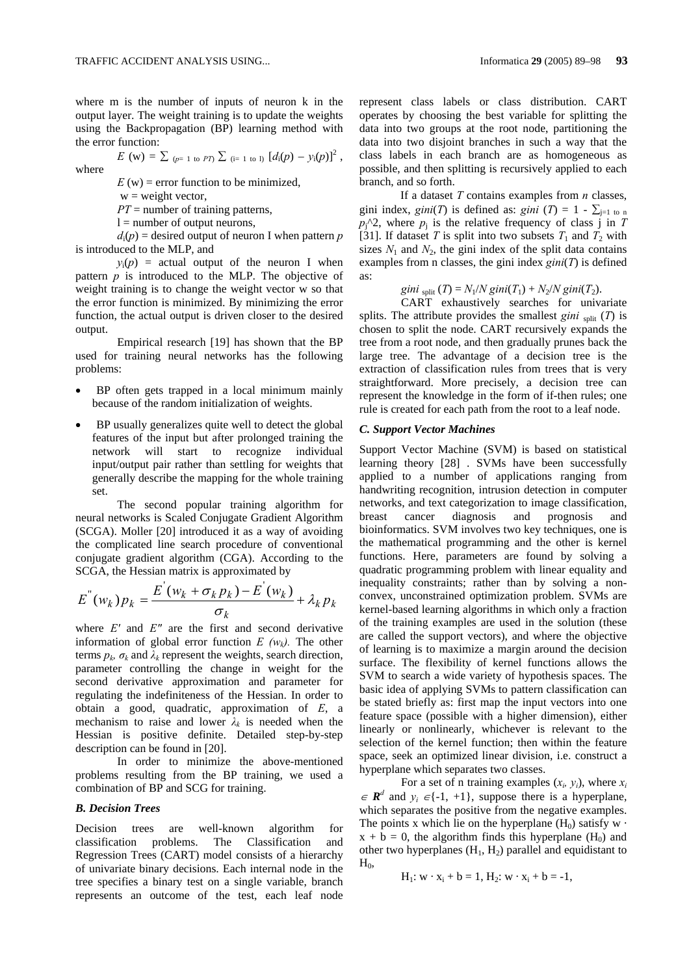where m is the number of inputs of neuron k in the output layer. The weight training is to update the weights using the Backpropagation (BP) learning method with the error function:

 $E$  (w) =  $\sum_{(p=1 \text{ to } PT)} \sum_{(i=1 \text{ to } 1)} [d_i(p) - y_i(p)]^2$ ,

where

 $E(w)$  = error function to be minimized,

 $w = weight vector$ ,

*PT* = number of training patterns,  $l =$  number of output neurons,

 $d_i(p)$  = desired output of neuron I when pattern *p* is introduced to the MLP, and

 $y_i(p)$  = actual output of the neuron I when pattern *p* is introduced to the MLP. The objective of weight training is to change the weight vector w so that the error function is minimized. By minimizing the error function, the actual output is driven closer to the desired output.

Empirical research [19] has shown that the BP used for training neural networks has the following problems:

- BP often gets trapped in a local minimum mainly because of the random initialization of weights.
- BP usually generalizes quite well to detect the global features of the input but after prolonged training the network will start to recognize individual input/output pair rather than settling for weights that generally describe the mapping for the whole training set.

The second popular training algorithm for neural networks is Scaled Conjugate Gradient Algorithm (SCGA). Moller [20] introduced it as a way of avoiding the complicated line search procedure of conventional conjugate gradient algorithm (CGA). According to the SCGA, the Hessian matrix is approximated by

$$
E^{''}(w_k)p_k = \frac{E^{'}(w_k + \sigma_k p_k) - E^{'}(w_k)}{\sigma_k} + \lambda_k p_k
$$

where *E'* and *E"* are the first and second derivative information of global error function  $E(w_k)$ . The other terms  $p_k$ ,  $\sigma_k$  and  $\lambda_k$  represent the weights, search direction, parameter controlling the change in weight for the second derivative approximation and parameter for regulating the indefiniteness of the Hessian. In order to obtain a good, quadratic, approximation of *E*, a mechanism to raise and lower  $\lambda_k$  is needed when the Hessian is positive definite. Detailed step-by-step description can be found in [20].

In order to minimize the above-mentioned problems resulting from the BP training, we used a combination of BP and SCG for training.

#### *B. Decision Trees*

Decision trees are well-known algorithm for classification problems. The Classification and Regression Trees (CART) model consists of a hierarchy of univariate binary decisions. Each internal node in the tree specifies a binary test on a single variable, branch represents an outcome of the test, each leaf node represent class labels or class distribution. CART operates by choosing the best variable for splitting the data into two groups at the root node, partitioning the data into two disjoint branches in such a way that the class labels in each branch are as homogeneous as possible, and then splitting is recursively applied to each branch, and so forth.

If a dataset *T* contains examples from *n* classes, gini index, *gini*(*T*) is defined as: *gini* (*T*) = 1 -  $\sum_{i=1}$  to n  $p_i^{\wedge}2$ , where  $p_i$  is the relative frequency of class j in *T* [31]. If dataset *T* is split into two subsets  $T_1$  and  $T_2$  with sizes  $N_1$  and  $N_2$ , the gini index of the split data contains examples from n classes, the gini index *gini*(*T*) is defined as:

#### *gini*  $_{split}$  *(T)* =  $N_1/N$  *gini*(*T<sub>1</sub>*) +  $N_2/N$  *gini*(*T<sub>2</sub>*).

CART exhaustively searches for univariate splits. The attribute provides the smallest *gini*  $\text{snif}(T)$  is chosen to split the node. CART recursively expands the tree from a root node, and then gradually prunes back the large tree. The advantage of a decision tree is the extraction of classification rules from trees that is very straightforward. More precisely, a decision tree can represent the knowledge in the form of if-then rules; one rule is created for each path from the root to a leaf node.

#### *C. Support Vector Machines*

Support Vector Machine (SVM) is based on statistical learning theory [28] . SVMs have been successfully applied to a number of applications ranging from handwriting recognition, intrusion detection in computer networks, and text categorization to image classification, breast cancer diagnosis and prognosis and bioinformatics. SVM involves two key techniques, one is the mathematical programming and the other is kernel functions. Here, parameters are found by solving a quadratic programming problem with linear equality and inequality constraints; rather than by solving a nonconvex, unconstrained optimization problem. SVMs are kernel-based learning algorithms in which only a fraction of the training examples are used in the solution (these are called the support vectors), and where the objective of learning is to maximize a margin around the decision surface. The flexibility of kernel functions allows the SVM to search a wide variety of hypothesis spaces. The basic idea of applying SVMs to pattern classification can be stated briefly as: first map the input vectors into one feature space (possible with a higher dimension), either linearly or nonlinearly, whichever is relevant to the selection of the kernel function; then within the feature space, seek an optimized linear division, i.e. construct a hyperplane which separates two classes.

For a set of n training examples  $(x_i, y_i)$ , where  $x_i$  $\in \mathbb{R}^d$  and  $y_i \in \{-1, +1\}$ , suppose there is a hyperplane, which separates the positive from the negative examples. The points x which lie on the hyperplane  $(H_0)$  satisfy w  $\cdot$  $x + b = 0$ , the algorithm finds this hyperplane (H<sub>0</sub>) and other two hyperplanes  $(H_1, H_2)$  parallel and equidistant to  $H_0$ 

$$
H_1
$$
:  $w \cdot x_i + b = 1$ ,  $H_2$ :  $w \cdot x_i + b = -1$ ,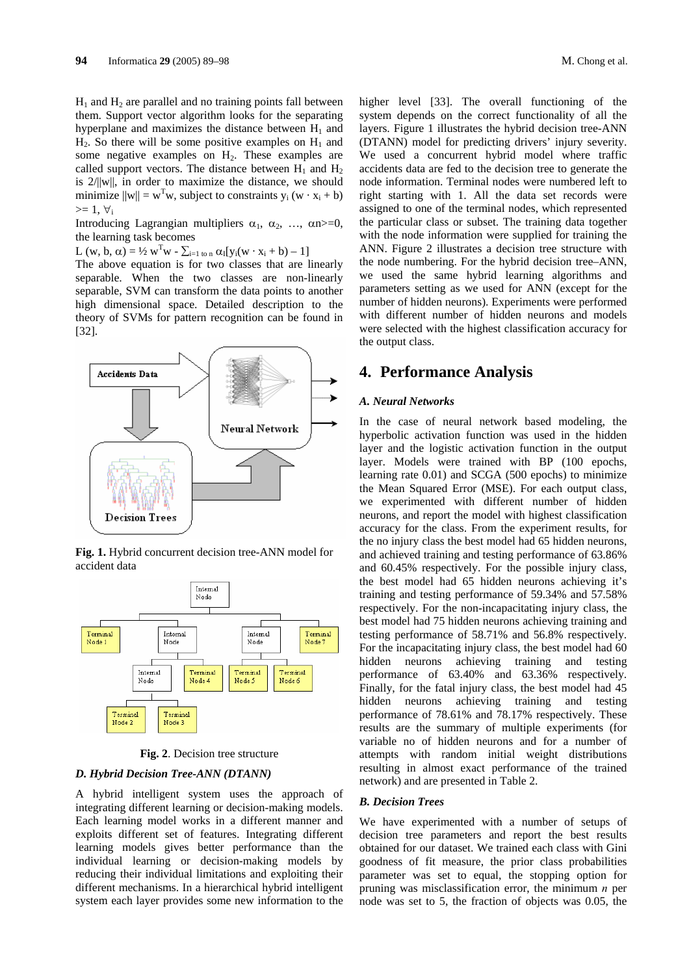$H_1$  and  $H_2$  are parallel and no training points fall between them. Support vector algorithm looks for the separating hyperplane and maximizes the distance between  $H_1$  and  $H_2$ . So there will be some positive examples on  $H_1$  and some negative examples on  $H<sub>2</sub>$ . These examples are called support vectors. The distance between  $H_1$  and  $H_2$ is 2/||w||, in order to maximize the distance, we should minimize  $||w|| = w<sup>T</sup>w$ , subject to constraints  $y_i (w \cdot x_i + b)$  $>= 1, \forall i$ 

Introducing Lagrangian multipliers  $\alpha_1$ ,  $\alpha_2$ , ...,  $\alpha_n$ =0, the learning task becomes

L  $(w, b, \alpha) = \frac{1}{2} w^T w - \sum_{i=1 \text{ to n}} \alpha_i [y_i(w \cdot x_i + b) - 1]$ 

The above equation is for two classes that are linearly separable. When the two classes are non-linearly separable, SVM can transform the data points to another high dimensional space. Detailed description to the theory of SVMs for pattern recognition can be found in [32].



**Fig. 1.** Hybrid concurrent decision tree-ANN model for accident data



**Fig. 2**. Decision tree structure

#### *D. Hybrid Decision Tree-ANN (DTANN)*

A hybrid intelligent system uses the approach of integrating different learning or decision-making models. Each learning model works in a different manner and exploits different set of features. Integrating different learning models gives better performance than the individual learning or decision-making models by reducing their individual limitations and exploiting their different mechanisms. In a hierarchical hybrid intelligent system each layer provides some new information to the higher level [33]. The overall functioning of the system depends on the correct functionality of all the layers. Figure 1 illustrates the hybrid decision tree-ANN (DTANN) model for predicting drivers' injury severity. We used a concurrent hybrid model where traffic accidents data are fed to the decision tree to generate the node information. Terminal nodes were numbered left to

assigned to one of the terminal nodes, which represented the particular class or subset. The training data together with the node information were supplied for training the ANN. Figure 2 illustrates a decision tree structure with the node numbering. For the hybrid decision tree–ANN, we used the same hybrid learning algorithms and parameters setting as we used for ANN (except for the number of hidden neurons). Experiments were performed with different number of hidden neurons and models were selected with the highest classification accuracy for the output class.

right starting with 1. All the data set records were

### **4. Performance Analysis**

#### *A. Neural Networks*

In the case of neural network based modeling, the hyperbolic activation function was used in the hidden layer and the logistic activation function in the output layer. Models were trained with BP (100 epochs, learning rate 0.01) and SCGA (500 epochs) to minimize the Mean Squared Error (MSE). For each output class, we experimented with different number of hidden neurons, and report the model with highest classification accuracy for the class. From the experiment results, for the no injury class the best model had 65 hidden neurons, and achieved training and testing performance of 63.86% and 60.45% respectively. For the possible injury class, the best model had 65 hidden neurons achieving it's training and testing performance of 59.34% and 57.58% respectively. For the non-incapacitating injury class, the best model had 75 hidden neurons achieving training and testing performance of 58.71% and 56.8% respectively. For the incapacitating injury class, the best model had 60 hidden neurons achieving training and testing performance of 63.40% and 63.36% respectively. Finally, for the fatal injury class, the best model had 45 hidden neurons achieving training and testing performance of 78.61% and 78.17% respectively. These results are the summary of multiple experiments (for variable no of hidden neurons and for a number of attempts with random initial weight distributions resulting in almost exact performance of the trained network) and are presented in Table 2.

#### *B. Decision Trees*

We have experimented with a number of setups of decision tree parameters and report the best results obtained for our dataset. We trained each class with Gini goodness of fit measure, the prior class probabilities parameter was set to equal, the stopping option for pruning was misclassification error, the minimum *n* per node was set to 5, the fraction of objects was 0.05, the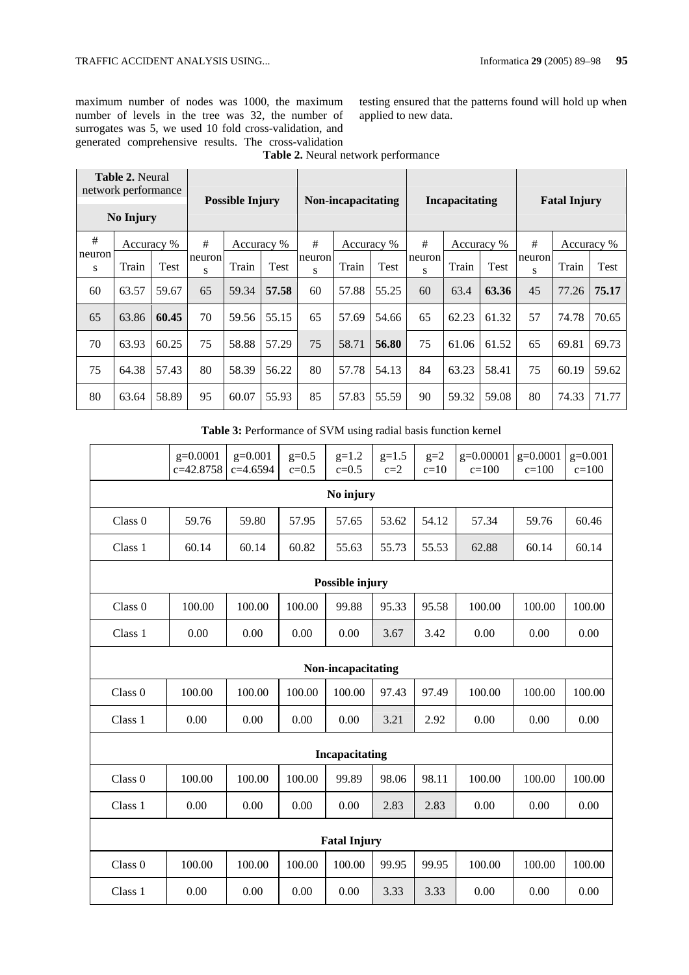maximum number of nodes was 1000, the maximum number of levels in the tree was 32, the number of surrogates was 5, we used 10 fold cross-validation, and generated comprehensive results. The cross-validation testing ensured that the patterns found will hold up when applied to new data.

| <b>Table 2. Neural</b><br>network performance<br>No Injury |       |            | <b>Possible Injury</b> |            |       | Non-incapacitating |            |       | <b>Incapacitating</b> |       |             | <b>Fatal Injury</b> |       |            |
|------------------------------------------------------------|-------|------------|------------------------|------------|-------|--------------------|------------|-------|-----------------------|-------|-------------|---------------------|-------|------------|
| #                                                          |       | Accuracy % | #                      | Accuracy % |       | $\#$               | Accuracy % |       | #                     |       | Accuracy %  | #                   |       | Accuracy % |
| neuron<br>S                                                | Train | Test       | neuron<br>S            | Train      | Test  | neuron<br>S        | Train      | Test  | neuron<br>S           | Train | <b>Test</b> | neuron<br>S         | Train | Test       |
| 60                                                         | 63.57 | 59.67      | 65                     | 59.34      | 57.58 | 60                 | 57.88      | 55.25 | 60                    | 63.4  | 63.36       | 45                  | 77.26 | 75.17      |
| 65                                                         | 63.86 | 60.45      | 70                     | 59.56      | 55.15 | 65                 | 57.69      | 54.66 | 65                    | 62.23 | 61.32       | 57                  | 74.78 | 70.65      |
| 70                                                         | 63.93 | 60.25      | 75                     | 58.88      | 57.29 | 75                 | 58.71      | 56.80 | 75                    | 61.06 | 61.52       | 65                  | 69.81 | 69.73      |
| 75                                                         | 64.38 | 57.43      | 80                     | 58.39      | 56.22 | 80                 | 57.78      | 54.13 | 84                    | 63.23 | 58.41       | 75                  | 60.19 | 59.62      |
| 80                                                         | 63.64 | 58.89      | 95                     | 60.07      | 55.93 | 85                 | 57.83      | 55.59 | 90                    | 59.32 | 59.08       | 80                  | 74.33 | 71.77      |

**Table 2.** Neural network performance

**Table 3:** Performance of SVM using radial basis function kernel

|                    | $g=0.0001$            | $g=0.001$ | $g=0.5$   | $g=1.2$   | $g=1.5$ | $g=2$  | $g=0.00001$ | $g=0.0001$ | $g=0.001$ |  |
|--------------------|-----------------------|-----------|-----------|-----------|---------|--------|-------------|------------|-----------|--|
|                    | c=42.8758             | c=4.6594  | $c = 0.5$ | $c = 0.5$ | $c=2$   | $c=10$ | $c = 100$   | $c=100$    | $c = 100$ |  |
|                    | No injury             |           |           |           |         |        |             |            |           |  |
| Class <sub>0</sub> | 59.76                 | 59.80     | 57.95     | 57.65     | 53.62   | 54.12  | 57.34       | 59.76      | 60.46     |  |
| Class 1            | 60.14                 | 60.14     | 60.82     | 55.63     | 55.73   | 55.53  | 62.88       | 60.14      | 60.14     |  |
| Possible injury    |                       |           |           |           |         |        |             |            |           |  |
| Class 0            | 100.00                | 100.00    | 100.00    | 99.88     | 95.33   | 95.58  | 100.00      | 100.00     | 100.00    |  |
| Class 1            | 0.00                  | 0.00      | 0.00      | 0.00      | 3.67    | 3.42   | 0.00        | 0.00       | 0.00      |  |
| Non-incapacitating |                       |           |           |           |         |        |             |            |           |  |
| Class 0            | 100.00                | 100.00    | 100.00    | 100.00    | 97.43   | 97.49  | 100.00      | 100.00     | 100.00    |  |
| Class 1            | 0.00                  | 0.00      | 0.00      | 0.00      | 3.21    | 2.92   | 0.00        | 0.00       | 0.00      |  |
|                    | <b>Incapacitating</b> |           |           |           |         |        |             |            |           |  |
| Class 0            | 100.00                | 100.00    | 100.00    | 99.89     | 98.06   | 98.11  | 100.00      | 100.00     | 100.00    |  |
| Class 1            | 0.00                  | 0.00      | 0.00      | 0.00      | 2.83    | 2.83   | 0.00        | 0.00       | 0.00      |  |
|                    | <b>Fatal Injury</b>   |           |           |           |         |        |             |            |           |  |
| Class 0            | 100.00                | 100.00    | 100.00    | 100.00    | 99.95   | 99.95  | 100.00      | 100.00     | 100.00    |  |
| Class 1            | 0.00                  | 0.00      | 0.00      | 0.00      | 3.33    | 3.33   | 0.00        | 0.00       | 0.00      |  |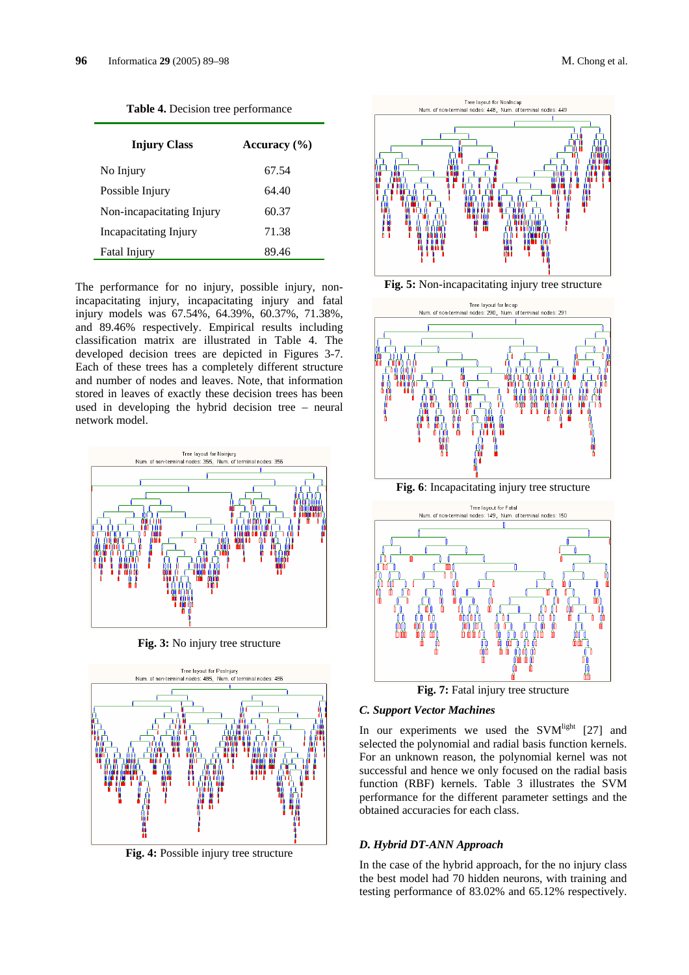|  | M. Chong et al. |  |  |
|--|-----------------|--|--|
|--|-----------------|--|--|

| <b>Injury Class</b>       | Accuracy $(\% )$ |
|---------------------------|------------------|
| No Injury                 | 67.54            |
| Possible Injury           | 64.40            |
| Non-incapacitating Injury | 60.37            |
| Incapacitating Injury     | 71.38            |
| Fatal Injury              | 89.46            |

**Table 4.** Decision tree performance

The performance for no injury, possible injury, nonincapacitating injury, incapacitating injury and fatal injury models was 67.54%, 64.39%, 60.37%, 71.38%, and 89.46% respectively. Empirical results including classification matrix are illustrated in Table 4. The developed decision trees are depicted in Figures 3-7. Each of these trees has a completely different structure and number of nodes and leaves. Note, that information stored in leaves of exactly these decision trees has been used in developing the hybrid decision tree – neural network model.



**Fig. 3:** No injury tree structure



**Fig. 4:** Possible injury tree structure



**Fig. 5:** Non-incapacitating injury tree structure



**Fig. 6**: Incapacitating injury tree structure



**Fig. 7:** Fatal injury tree structure

#### *C. Support Vector Machines*

In our experiments we used the  $SVM<sup>light</sup>$  [27] and selected the polynomial and radial basis function kernels. For an unknown reason, the polynomial kernel was not successful and hence we only focused on the radial basis function (RBF) kernels. Table 3 illustrates the SVM performance for the different parameter settings and the obtained accuracies for each class.

#### *D. Hybrid DT-ANN Approach*

In the case of the hybrid approach, for the no injury class the best model had 70 hidden neurons, with training and testing performance of 83.02% and 65.12% respectively.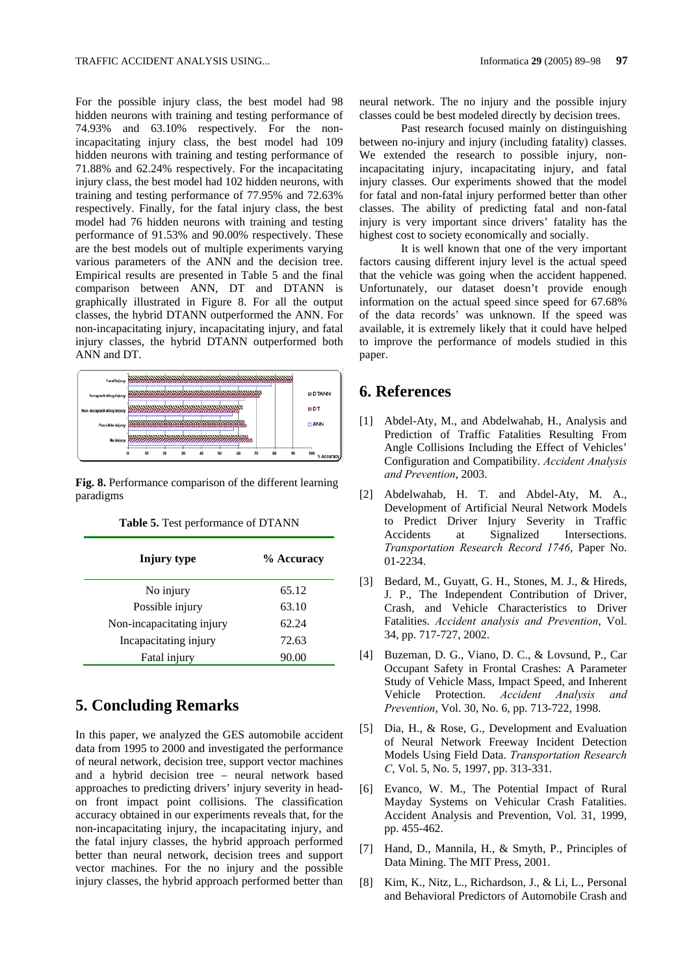For the possible injury class, the best model had 98 hidden neurons with training and testing performance of 74.93% and 63.10% respectively. For the nonincapacitating injury class, the best model had 109 hidden neurons with training and testing performance of 71.88% and 62.24% respectively. For the incapacitating injury class, the best model had 102 hidden neurons, with training and testing performance of 77.95% and 72.63% respectively. Finally, for the fatal injury class, the best model had 76 hidden neurons with training and testing performance of 91.53% and 90.00% respectively. These are the best models out of multiple experiments varying various parameters of the ANN and the decision tree. Empirical results are presented in Table 5 and the final comparison between ANN, DT and DTANN is graphically illustrated in Figure 8. For all the output classes, the hybrid DTANN outperformed the ANN. For non-incapacitating injury, incapacitating injury, and fatal injury classes, the hybrid DTANN outperformed both ANN and DT.



**Fig. 8.** Performance comparison of the different learning paradigms

| Injury type               | % Accuracy |
|---------------------------|------------|
| No injury                 | 65.12      |
| Possible injury           | 63.10      |
| Non-incapacitating injury | 62.24      |
| Incapacitating injury     | 72.63      |
| Fatal injury              | 90.00      |

**Table 5.** Test performance of DTANN

## **5. Concluding Remarks**

In this paper, we analyzed the GES automobile accident data from 1995 to 2000 and investigated the performance of neural network, decision tree, support vector machines and a hybrid decision tree – neural network based approaches to predicting drivers' injury severity in headon front impact point collisions. The classification accuracy obtained in our experiments reveals that, for the non-incapacitating injury, the incapacitating injury, and the fatal injury classes, the hybrid approach performed better than neural network, decision trees and support vector machines. For the no injury and the possible injury classes, the hybrid approach performed better than neural network. The no injury and the possible injury classes could be best modeled directly by decision trees.

Past research focused mainly on distinguishing between no-injury and injury (including fatality) classes. We extended the research to possible injury, nonincapacitating injury, incapacitating injury, and fatal injury classes. Our experiments showed that the model for fatal and non-fatal injury performed better than other classes. The ability of predicting fatal and non-fatal injury is very important since drivers' fatality has the highest cost to society economically and socially.

It is well known that one of the very important factors causing different injury level is the actual speed that the vehicle was going when the accident happened. Unfortunately, our dataset doesn't provide enough information on the actual speed since speed for 67.68% of the data records' was unknown. If the speed was available, it is extremely likely that it could have helped to improve the performance of models studied in this paper.

## **6. References**

- [1] Abdel-Aty, M., and Abdelwahab, H., Analysis and Prediction of Traffic Fatalities Resulting From Angle Collisions Including the Effect of Vehicles' Configuration and Compatibility. *Accident Analysis and Prevention*, 2003.
- [2] Abdelwahab, H. T. and Abdel-Aty, M. A., Development of Artificial Neural Network Models to Predict Driver Injury Severity in Traffic Accidents at Signalized Intersections. *Transportation Research Record 1746*, Paper No. 01-2234.
- [3] Bedard, M., Guyatt, G. H., Stones, M. J., & Hireds, J. P., The Independent Contribution of Driver, Crash, and Vehicle Characteristics to Driver Fatalities. *Accident analysis and Prevention*, Vol. 34, pp. 717-727, 2002.
- [4] Buzeman, D. G., Viano, D. C., & Lovsund, P., Car Occupant Safety in Frontal Crashes: A Parameter Study of Vehicle Mass, Impact Speed, and Inherent Vehicle Protection. *Accident Analysis and Prevention*, Vol. 30, No. 6, pp. 713-722, 1998.
- [5] Dia, H., & Rose, G., Development and Evaluation of Neural Network Freeway Incident Detection Models Using Field Data. *Transportation Research C*, Vol. 5, No. 5, 1997, pp. 313-331.
- [6] Evanco, W. M., The Potential Impact of Rural Mayday Systems on Vehicular Crash Fatalities. Accident Analysis and Prevention, Vol. 31, 1999, pp. 455-462.
- [7] Hand, D., Mannila, H., & Smyth, P., Principles of Data Mining. The MIT Press, 2001.
- [8] Kim, K., Nitz, L., Richardson, J., & Li, L., Personal and Behavioral Predictors of Automobile Crash and